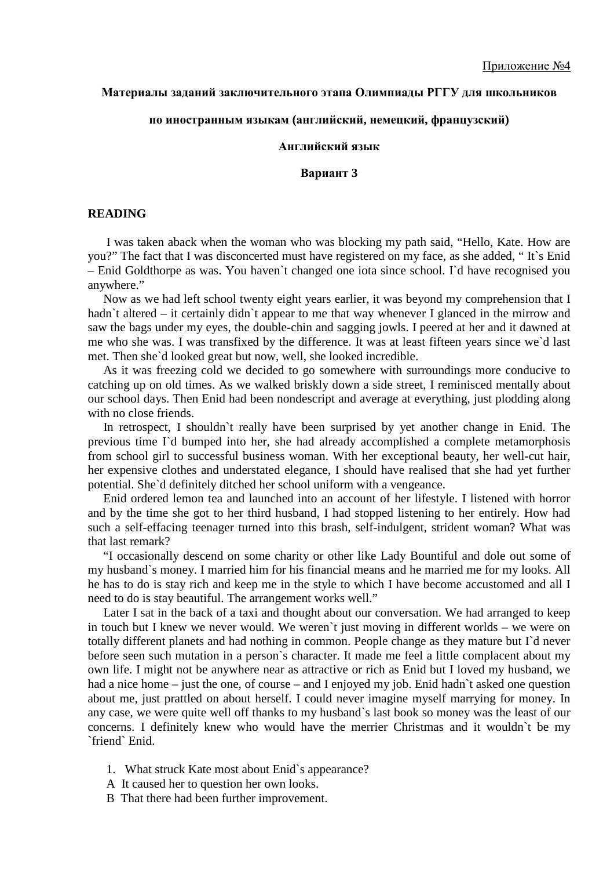# **Материалы заданий заключительного этапа Олимпиады РГГУ для школьников**

# **по иностранным языкам (английский, немецкий, французский)**

## **Английский язык**

## **Вариант 3**

# **READING**

 I was taken aback when the woman who was blocking my path said, "Hello, Kate. How are you?" The fact that I was disconcerted must have registered on my face, as she added, " It`s Enid – Enid Goldthorpe as was. You haven`t changed one iota since school. I`d have recognised you anywhere."

 Now as we had left school twenty eight years earlier, it was beyond my comprehension that I hadn't altered – it certainly didn't appear to me that way whenever I glanced in the mirrow and saw the bags under my eyes, the double-chin and sagging jowls. I peered at her and it dawned at me who she was. I was transfixed by the difference. It was at least fifteen years since we`d last met. Then she`d looked great but now, well, she looked incredible.

 As it was freezing cold we decided to go somewhere with surroundings more conducive to catching up on old times. As we walked briskly down a side street, I reminisced mentally about our school days. Then Enid had been nondescript and average at everything, just plodding along with no close friends.

In retrospect, I shouldn't really have been surprised by yet another change in Enid. The previous time I`d bumped into her, she had already accomplished a complete metamorphosis from school girl to successful business woman. With her exceptional beauty, her well-cut hair, her expensive clothes and understated elegance, I should have realised that she had yet further potential. She`d definitely ditched her school uniform with a vengeance.

 Enid ordered lemon tea and launched into an account of her lifestyle. I listened with horror and by the time she got to her third husband, I had stopped listening to her entirely. How had such a self-effacing teenager turned into this brash, self-indulgent, strident woman? What was that last remark?

 "I occasionally descend on some charity or other like Lady Bountiful and dole out some of my husband`s money. I married him for his financial means and he married me for my looks. All he has to do is stay rich and keep me in the style to which I have become accustomed and all I need to do is stay beautiful. The arrangement works well."

 Later I sat in the back of a taxi and thought about our conversation. We had arranged to keep in touch but I knew we never would. We weren`t just moving in different worlds – we were on totally different planets and had nothing in common. People change as they mature but I`d never before seen such mutation in a person`s character. It made me feel a little complacent about my own life. I might not be anywhere near as attractive or rich as Enid but I loved my husband, we had a nice home – just the one, of course – and I enjoyed my job. Enid hadn't asked one question about me, just prattled on about herself. I could never imagine myself marrying for money. In any case, we were quite well off thanks to my husband`s last book so money was the least of our concerns. I definitely knew who would have the merrier Christmas and it wouldn`t be my `friend` Enid.

- 1. What struck Kate most about Enid`s appearance?
- A It caused her to question her own looks.
- B That there had been further improvement.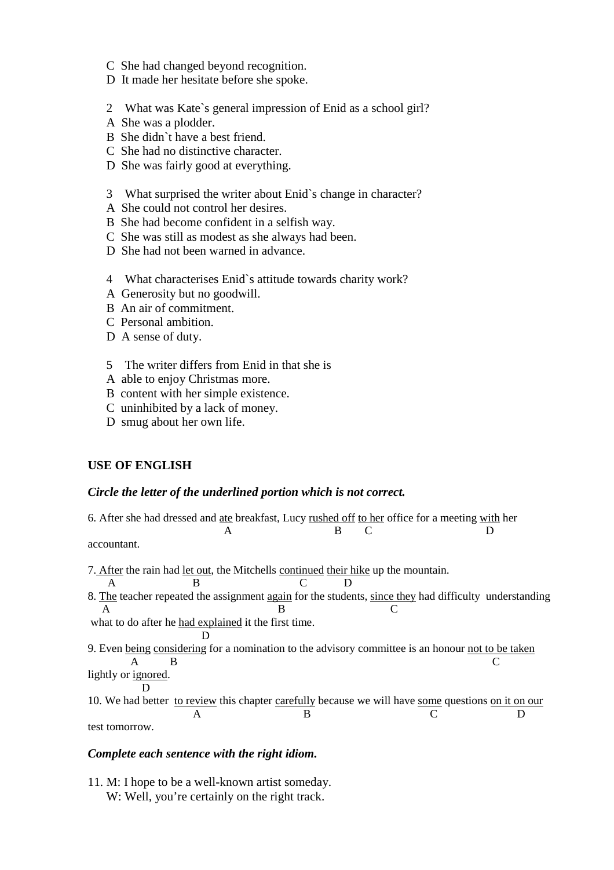- C She had changed beyond recognition.
- D It made her hesitate before she spoke.
- 2 What was Kate`s general impression of Enid as a school girl?
- A She was a plodder.
- B She didn`t have a best friend.
- C She had no distinctive character.
- D She was fairly good at everything.
- 3 What surprised the writer about Enid`s change in character?
- A She could not control her desires.
- B She had become confident in a selfish way.
- C She was still as modest as she always had been.
- D She had not been warned in advance.
- 4 What characterises Enid`s attitude towards charity work?
- A Generosity but no goodwill.
- B An air of commitment.
- C Personal ambition.
- D A sense of duty.
- 5 The writer differs from Enid in that she is
- A able to enjoy Christmas more.
- B content with her simple existence.
- C uninhibited by a lack of money.
- D smug about her own life.

# **USE OF ENGLISH**

# *Circle the letter of the underlined portion which is not correct.*

| 6. After she had dressed and <u>ate</u> breakfast, Lucy rushed off to her office for a meeting with her |   |              |  |  |
|---------------------------------------------------------------------------------------------------------|---|--------------|--|--|
|                                                                                                         | A | в            |  |  |
| accountant.                                                                                             |   |              |  |  |
| 7. After the rain had let out, the Mitchells continued their hike up the mountain.                      |   |              |  |  |
| A                                                                                                       | B | $\mathbf{D}$ |  |  |
| 8. The teacher repeated the assignment again for the students, since they had difficulty understanding  |   |              |  |  |
| A                                                                                                       |   |              |  |  |
| what to do after he had explained it the first time.                                                    |   |              |  |  |
|                                                                                                         |   |              |  |  |
| 9. Even being considering for a nomination to the advisory committee is an honour not to be taken       |   |              |  |  |
| B<br>$\mathsf{A}$                                                                                       |   |              |  |  |
| lightly or ignored.                                                                                     |   |              |  |  |
|                                                                                                         |   |              |  |  |
| 10. We had better to review this chapter carefully because we will have some questions on it on our     |   |              |  |  |

A B C D test tomorrow.

# *Complete each sentence with the right idiom.*

11. M: I hope to be a well-known artist someday. W: Well, you're certainly on the right track.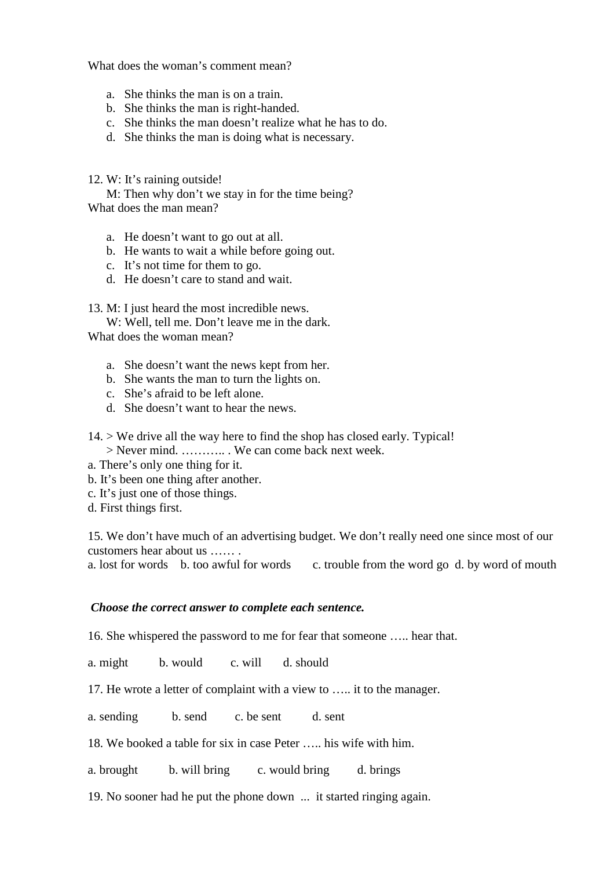What does the woman's comment mean?

- a. She thinks the man is on a train.
- b. She thinks the man is right-handed.
- c. She thinks the man doesn't realize what he has to do.
- d. She thinks the man is doing what is necessary.
- 12. W: It's raining outside!

 M: Then why don't we stay in for the time being? What does the man mean?

- a. He doesn't want to go out at all.
- b. He wants to wait a while before going out.
- c. It's not time for them to go.
- d. He doesn't care to stand and wait.

13. M: I just heard the most incredible news.

W: Well, tell me. Don't leave me in the dark.

What does the woman mean?

- a. She doesn't want the news kept from her.
- b. She wants the man to turn the lights on.
- c. She's afraid to be left alone.
- d. She doesn't want to hear the news.

14. > We drive all the way here to find the shop has closed early. Typical!

> Never mind. ……….. . We can come back next week.

- a. There's only one thing for it.
- b. It's been one thing after another.
- c. It's just one of those things.
- d. First things first.

15. We don't have much of an advertising budget. We don't really need one since most of our customers hear about us …… .

a. lost for words b. too awful for words c. trouble from the word go d. by word of mouth

## *Choose the correct answer to complete each sentence.*

16. She whispered the password to me for fear that someone ….. hear that.

a. might b. would c. will d. should

17. He wrote a letter of complaint with a view to ….. it to the manager.

a. sending b. send c. be sent d. sent

18. We booked a table for six in case Peter ….. his wife with him.

a. brought b. will bring c. would bring d. brings

19. No sooner had he put the phone down ... it started ringing again.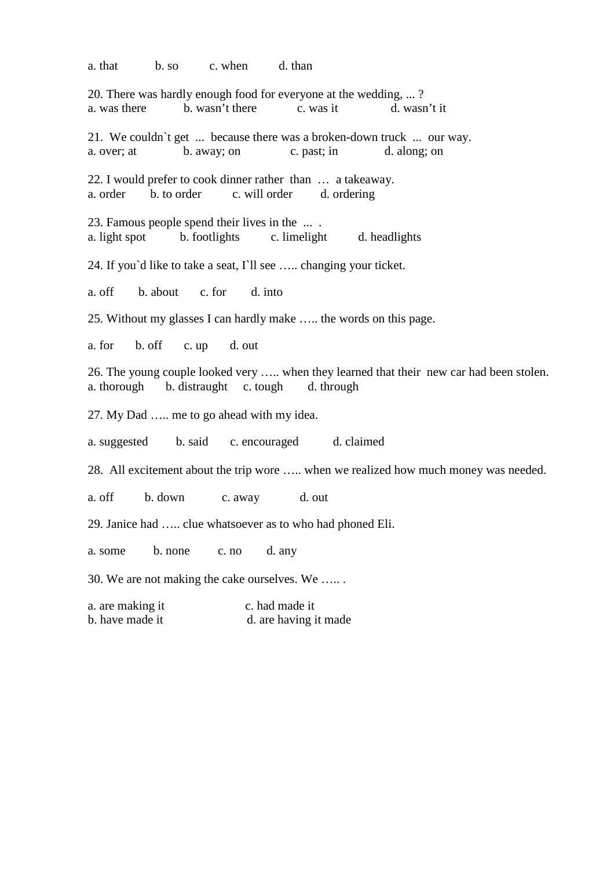a. that b. so c. when d. than 20. There was hardly enough food for everyone at the wedding, ... ? a. was there b. wasn't there c. was it d. wasn't it 21. We couldn`t get ... because there was a broken-down truck ... our way. a. over; at b. away; on c. past; ind. along; on 22. I would prefer to cook dinner rather than … a takeaway. a. order b. to order c. will order d. ordering 23. Famous people spend their lives in the ... . a. light spot b. footlights c. limelightd. headlights 24. If you'd like to take a seat,  $\Gamma$ ll see ..... changing your ticket. a. off b. about c. for d. into 25. Without my glasses I can hardly make ….. the words on this page. a. for b. off c. up d. out 26. The young couple looked very ….. when they learned that their new car had been stolen. a. thorough b. distraughtc. tough d. through 27. My Dad ….. me to go ahead with my idea. a. suggested b. said c. encouraged d. claimed 28. All excitement about the trip wore ….. when we realized how much money was needed. a. off b. down c. away d. out 29. Janice had ….. clue whatsoever as to who had phoned Eli. a. some b. none c. no d. any 30. We are not making the cake ourselves. We ….. . a. are making it c. had made it b. have made it d. are having it made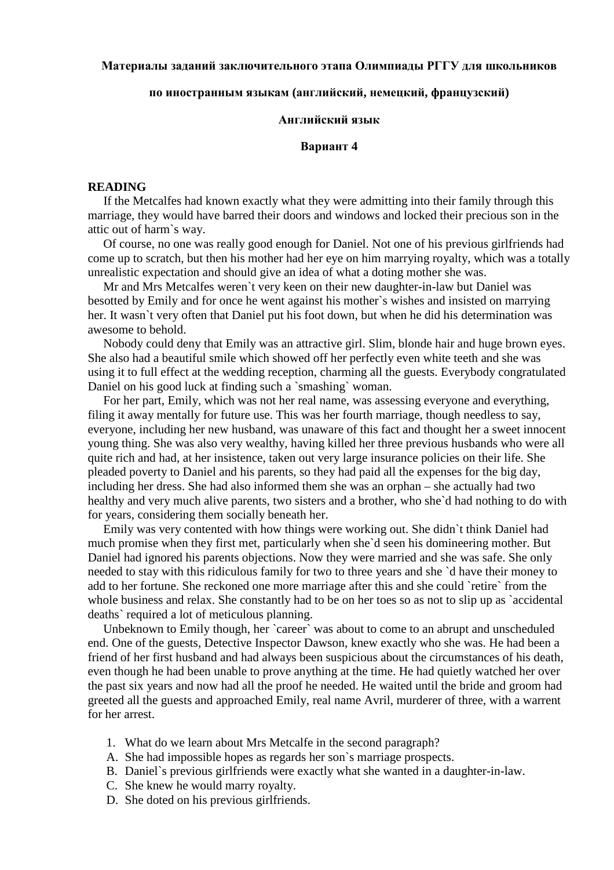## **Материалы заданий заключительного этапа Олимпиады РГГУ для школьников**

# **по иностранным языкам (английский, немецкий, французский)**

### **Английский язык**

## **Вариант 4**

## **READING**

 If the Metcalfes had known exactly what they were admitting into their family through this marriage, they would have barred their doors and windows and locked their precious son in the attic out of harm`s way.

 Of course, no one was really good enough for Daniel. Not one of his previous girlfriends had come up to scratch, but then his mother had her eye on him marrying royalty, which was a totally unrealistic expectation and should give an idea of what a doting mother she was.

 Mr and Mrs Metcalfes weren`t very keen on their new daughter-in-law but Daniel was besotted by Emily and for once he went against his mother`s wishes and insisted on marrying her. It wasn`t very often that Daniel put his foot down, but when he did his determination was awesome to behold.

 Nobody could deny that Emily was an attractive girl. Slim, blonde hair and huge brown eyes. She also had a beautiful smile which showed off her perfectly even white teeth and she was using it to full effect at the wedding reception, charming all the guests. Everybody congratulated Daniel on his good luck at finding such a `smashing` woman.

 For her part, Emily, which was not her real name, was assessing everyone and everything, filing it away mentally for future use. This was her fourth marriage, though needless to say, everyone, including her new husband, was unaware of this fact and thought her a sweet innocent young thing. She was also very wealthy, having killed her three previous husbands who were all quite rich and had, at her insistence, taken out very large insurance policies on their life. She pleaded poverty to Daniel and his parents, so they had paid all the expenses for the big day, including her dress. She had also informed them she was an orphan – she actually had two healthy and very much alive parents, two sisters and a brother, who she`d had nothing to do with for years, considering them socially beneath her.

 Emily was very contented with how things were working out. She didn`t think Daniel had much promise when they first met, particularly when she`d seen his domineering mother. But Daniel had ignored his parents objections. Now they were married and she was safe. She only needed to stay with this ridiculous family for two to three years and she `d have their money to add to her fortune. She reckoned one more marriage after this and she could `retire` from the whole business and relax. She constantly had to be on her toes so as not to slip up as `accidental deaths` required a lot of meticulous planning.

 Unbeknown to Emily though, her `career` was about to come to an abrupt and unscheduled end. One of the guests, Detective Inspector Dawson, knew exactly who she was. He had been a friend of her first husband and had always been suspicious about the circumstances of his death, even though he had been unable to prove anything at the time. He had quietly watched her over the past six years and now had all the proof he needed. He waited until the bride and groom had greeted all the guests and approached Emily, real name Avril, murderer of three, with a warrent for her arrest.

- 1. What do we learn about Mrs Metcalfe in the second paragraph?
- A. She had impossible hopes as regards her son`s marriage prospects.
- B. Daniel`s previous girlfriends were exactly what she wanted in a daughter-in-law.
- C. She knew he would marry royalty.
- D. She doted on his previous girlfriends.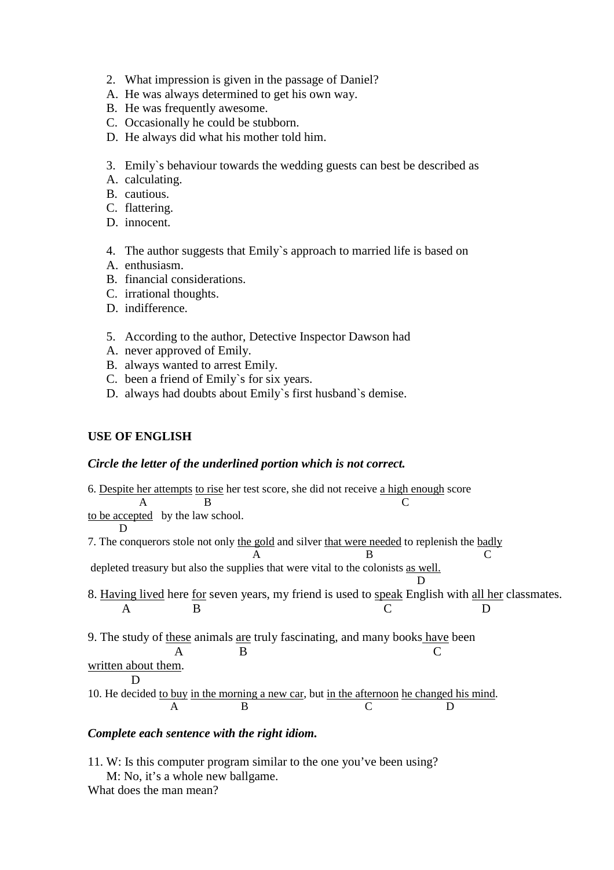- 2. What impression is given in the passage of Daniel?
- A. He was always determined to get his own way.
- B. He was frequently awesome.
- C. Occasionally he could be stubborn.
- D. He always did what his mother told him.
- 3. Emily`s behaviour towards the wedding guests can best be described as
- A. calculating.
- B. cautious.
- C. flattering.
- D. innocent.
- 4. The author suggests that Emily`s approach to married life is based on
- A. enthusiasm.
- B. financial considerations.
- C. irrational thoughts.
- D. indifference.
- 5. According to the author, Detective Inspector Dawson had
- A. never approved of Emily.
- B. always wanted to arrest Emily.
- C. been a friend of Emily`s for six years.
- D. always had doubts about Emily`s first husband`s demise.

# **USE OF ENGLISH**

# *Circle the letter of the underlined portion which is not correct.*

|                                                                               |                                   |   | 6. Despite her attempts to rise her test score, she did not receive a high enough score      |  |                                                                                                   |
|-------------------------------------------------------------------------------|-----------------------------------|---|----------------------------------------------------------------------------------------------|--|---------------------------------------------------------------------------------------------------|
| A                                                                             | B                                 |   |                                                                                              |  |                                                                                                   |
|                                                                               | to be accepted by the law school. |   |                                                                                              |  |                                                                                                   |
|                                                                               |                                   |   |                                                                                              |  |                                                                                                   |
|                                                                               |                                   |   | 7. The conquerors stole not only the gold and silver that were needed to replenish the badly |  |                                                                                                   |
|                                                                               |                                   |   |                                                                                              |  |                                                                                                   |
|                                                                               |                                   |   | depleted treasury but also the supplies that were vital to the colonists as well.            |  |                                                                                                   |
|                                                                               |                                   |   |                                                                                              |  |                                                                                                   |
|                                                                               |                                   |   |                                                                                              |  | 8. Having lived here for seven years, my friend is used to speak English with all her classmates. |
| A                                                                             | В                                 |   |                                                                                              |  |                                                                                                   |
|                                                                               |                                   |   |                                                                                              |  |                                                                                                   |
| 9. The study of these animals are truly fascinating, and many books have been |                                   |   |                                                                                              |  |                                                                                                   |
|                                                                               | A                                 | B |                                                                                              |  |                                                                                                   |
| written about them.                                                           |                                   |   |                                                                                              |  |                                                                                                   |
|                                                                               |                                   |   |                                                                                              |  |                                                                                                   |
|                                                                               |                                   |   | 10. He decided to buy in the morning a new car, but in the afternoon he changed his mind.    |  |                                                                                                   |
|                                                                               | А                                 | B |                                                                                              |  |                                                                                                   |
|                                                                               |                                   |   |                                                                                              |  |                                                                                                   |
|                                                                               |                                   |   |                                                                                              |  |                                                                                                   |

# *Complete each sentence with the right idiom.*

11. W: Is this computer program similar to the one you've been using? M: No, it's a whole new ballgame. What does the man mean?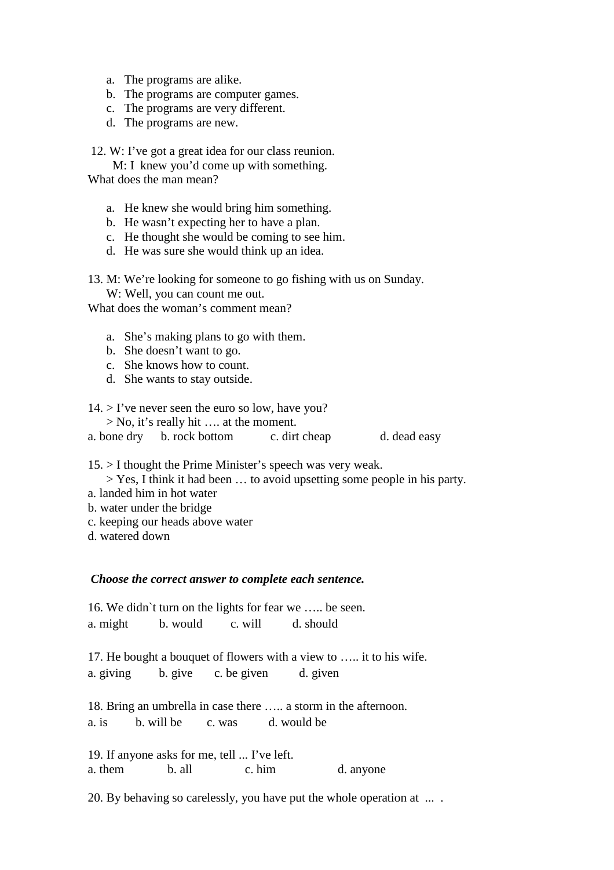- a. The programs are alike.
- b. The programs are computer games.
- c. The programs are very different.
- d. The programs are new.

12. W: I've got a great idea for our class reunion.

 M: I knew you'd come up with something. What does the man mean?

- a. He knew she would bring him something.
- b. He wasn't expecting her to have a plan.
- c. He thought she would be coming to see him.
- d. He was sure she would think up an idea.

13. M: We're looking for someone to go fishing with us on Sunday. W: Well, you can count me out.

What does the woman's comment mean?

- a. She's making plans to go with them.
- b. She doesn't want to go.
- c. She knows how to count.
- d. She wants to stay outside.

 $14.$  > I've never seen the euro so low, have you?

> No, it's really hit …. at the moment.

a. bone dry b. rock bottom c. dirt cheap d. dead easy

15. > I thought the Prime Minister's speech was very weak.

> Yes, I think it had been … to avoid upsetting some people in his party.

- a. landed him in hot water
- b. water under the bridge
- c. keeping our heads above water
- d. watered down

## *Choose the correct answer to complete each sentence.*

16. We didn`t turn on the lights for fear we ….. be seen. a. might b. would c. will d. should

17. He bought a bouquet of flowers with a view to ….. it to his wife. a. giving b. give c. be given d. given

18. Bring an umbrella in case there ….. a storm in the afternoon. a. is b. will be c. was d. would be

19. If anyone asks for me, tell ... I've left. a. them b. all c. him d. anyone

20. By behaving so carelessly, you have put the whole operation at ... .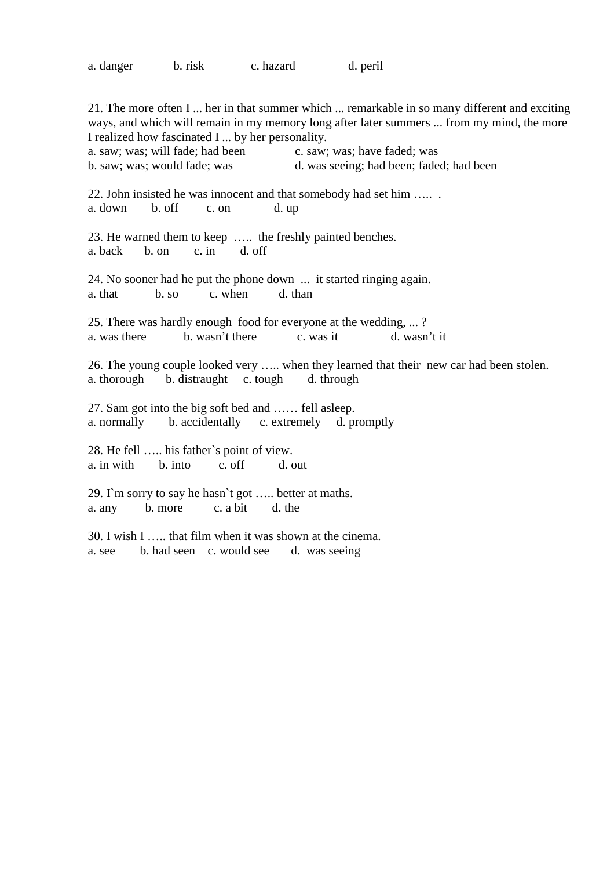| a. danger | b. risk | c. hazard | d. peril |
|-----------|---------|-----------|----------|
|           |         |           |          |

21. The more often I ... her in that summer which ... remarkable in so many different and exciting ways, and which will remain in my memory long after later summers ... from my mind, the more I realized how fascinated I ... by her personality. a. saw; was; will fade; had been c. saw; was; have faded; was b. saw; was; would fade; was d. was seeing; had been; faded; had been 22. John insisted he was innocent and that somebody had set him ….. . a. down b. off c. on d. up 23. He warned them to keep ….. the freshly painted benches. a. back b. on c. in d. off 24. No sooner had he put the phone down ... it started ringing again. a that b. so c. when d. than 25. There was hardly enough food for everyone at the wedding, ... ? a. was there b. wasn't there c. was it d. wasn't it 26. The young couple looked very ….. when they learned that their new car had been stolen. a. thorough b. distraughtc. tough d. through 27. Sam got into the big soft bed and …… fell asleep. a. normally b. accidentally c. extremely d. promptly 28. He fell ….. his father`s point of view. a. in with b. into c. off d. out 29. I`m sorry to say he hasn`t got  $\dots$  better at maths. a. any b. more c. a bit d. the 30. I wish I ….. that film when it was shown at the cinema. a. see b. had seen c. would see d. was seeing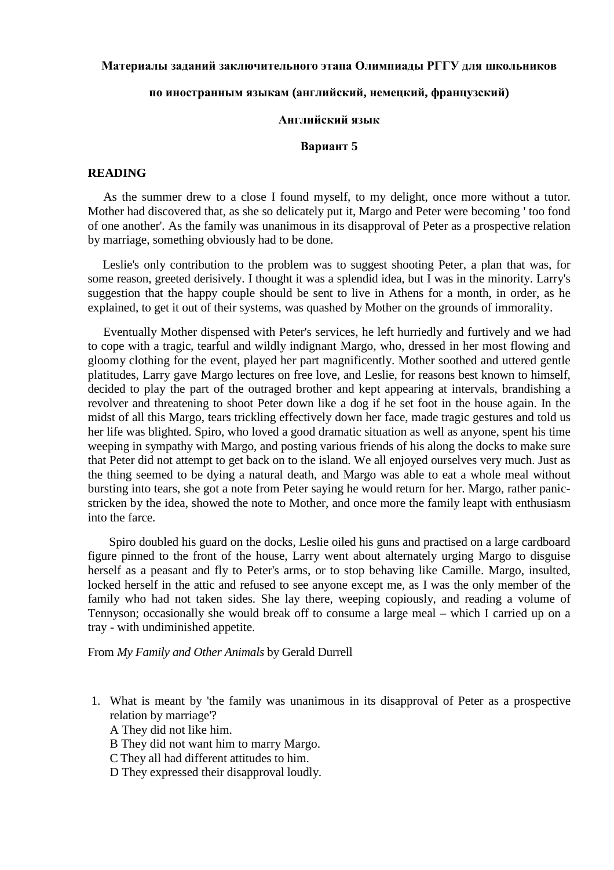## **Материалы заданий заключительного этапа Олимпиады РГГУ для школьников**

# **по иностранным языкам (английский, немецкий, французский)**

### **Английский язык**

# **Вариант 5**

#### **READING**

 As the summer drew to a close I found myself, to my delight, once more without a tutor. Mother had discovered that, as she so delicately put it, Margo and Peter were becoming ' too fond of one another'. As the family was unanimous in its disapproval of Peter as a prospective relation by marriage, something obviously had to be done.

 Leslie's only contribution to the problem was to suggest shooting Peter, a plan that was, for some reason, greeted derisively. I thought it was a splendid idea, but I was in the minority. Larry's suggestion that the happy couple should be sent to live in Athens for a month, in order, as he explained, to get it out of their systems, was quashed by Mother on the grounds of immorality.

 Eventually Mother dispensed with Peter's services, he left hurriedly and furtively and we had to cope with a tragic, tearful and wildly indignant Margo, who, dressed in her most flowing and gloomy clothing for the event, played her part magnificently. Mother soothed and uttered gentle platitudes, Larry gave Margo lectures on free love, and Leslie, for reasons best known to himself, decided to play the part of the outraged brother and kept appearing at intervals, brandishing a revolver and threatening to shoot Peter down like a dog if he set foot in the house again. In the midst of all this Margo, tears trickling effectively down her face, made tragic gestures and told us her life was blighted. Spiro, who loved a good dramatic situation as well as anyone, spent his time weeping in sympathy with Margo, and posting various friends of his along the docks to make sure that Peter did not attempt to get back on to the island. We all enjoyed ourselves very much. Just as the thing seemed to be dying a natural death, and Margo was able to eat a whole meal without bursting into tears, she got a note from Peter saying he would return for her. Margo, rather panicstricken by the idea, showed the note to Mother, and once more the family leapt with enthusiasm into the farce.

 Spiro doubled his guard on the docks, Leslie oiled his guns and practised on a large cardboard figure pinned to the front of the house, Larry went about alternately urging Margo to disguise herself as a peasant and fly to Peter's arms, or to stop behaving like Camille. Margo, insulted, locked herself in the attic and refused to see anyone except me, as I was the only member of the family who had not taken sides. She lay there, weeping copiously, and reading a volume of Tennyson; occasionally she would break off to consume a large meal – which I carried up on a tray - with undiminished appetite.

From *My Family and Other Animals* by Gerald Durrell

- 1. What is meant by 'the family was unanimous in its disapproval of Peter as a prospective relation by marriage'?
	- A They did not like him.
	- B They did not want him to marry Margo.
	- C They all had different attitudes to him.
	- D They expressed their disapproval loudly.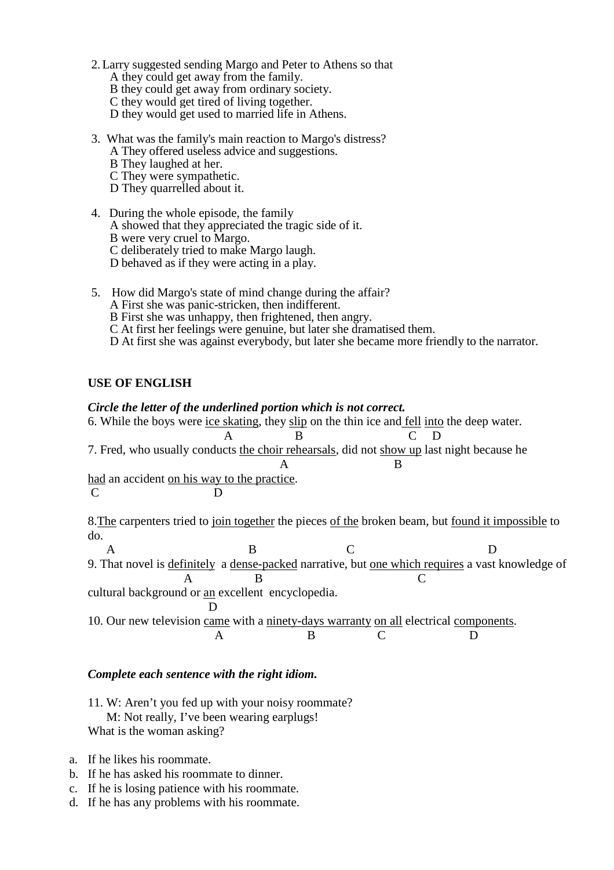- 2.Larry suggested sending Margo and Peter to Athens so that A they could get away from the family. B they could get away from ordinary society. C they would get tired of living together. D they would get used to married life in Athens.
- 3. What was the family's main reaction to Margo's distress?
	- A They offered useless advice and suggestions.
	- B They laughed at her.
	- C They were sympathetic.
	- D They quarrelled about it.
- 4. During the whole episode, the family A showed that they appreciated the tragic side of it. B were very cruel to Margo. C deliberately tried to make Margo laugh. D behaved as if they were acting in a play.
- 5. How did Margo's state of mind change during the affair? A First she was panic-stricken, then indifferent. B First she was unhappy, then frightened, then angry. C At first her feelings were genuine, but later she dramatised them. D At first she was against everybody, but later she became more friendly to the narrator.

# **USE OF ENGLISH**

## *Circle the letter of the underlined portion which is not correct.*

6. While the boys were ice skating, they slip on the thin ice and fell into the deep water. A B C D 7. Fred, who usually conducts the choir rehearsals, did not show up last night because he A B  $\frac{\text{had}}{\text{C}}$  an accident <u>on his way to the practice</u>. C D

8.The carpenters tried to join together the pieces of the broken beam, but found it impossible to do.

A B C D 9. That novel is definitely a dense-packed narrative, but one which requires a vast knowledge of A B C cultural background or an excellent encyclopedia. D 10. Our new television came with a ninety-days warranty on all electrical components. A B C D

# *Complete each sentence with the right idiom.*

- 11. W: Aren't you fed up with your noisy roommate? M: Not really, I've been wearing earplugs! What is the woman asking?
- a. If he likes his roommate.
- b. If he has asked his roommate to dinner.
- c. If he is losing patience with his roommate.
- d. If he has any problems with his roommate.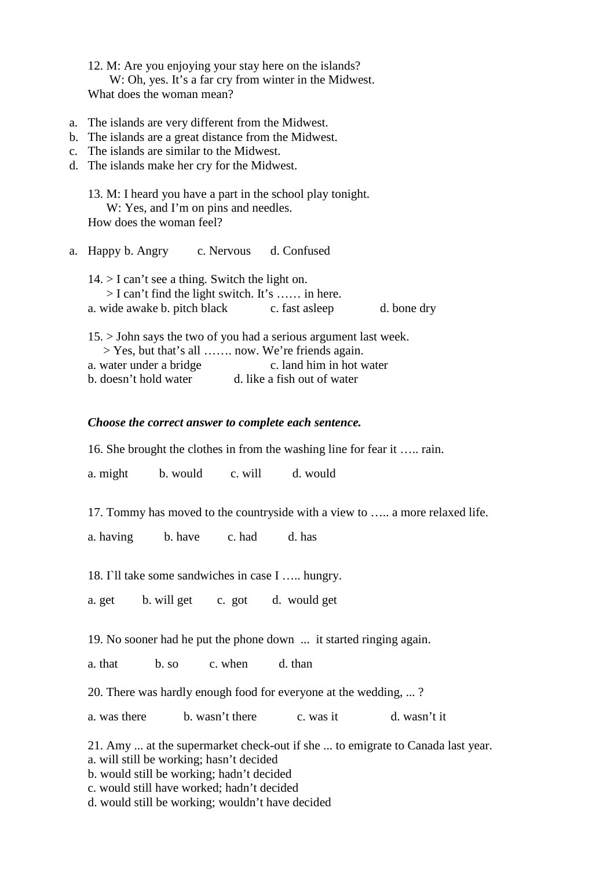12. M: Are you enjoying your stay here on the islands? W: Oh, yes. It's a far cry from winter in the Midwest. What does the woman mean?

- a. The islands are very different from the Midwest.
- b. The islands are a great distance from the Midwest.
- c. The islands are similar to the Midwest.
- d. The islands make her cry for the Midwest.

13. M: I heard you have a part in the school play tonight. W: Yes, and I'm on pins and needles. How does the woman feel?

a. Happy b. Angry c. Nervous d. Confused  $14.$  > I can't see a thing. Switch the light on. > I can't find the light switch. It's …… in here. a. wide awake b. pitch black c. fast asleep d. bone dry 15. > John says the two of you had a serious argument last week. > Yes, but that's all ……. now. We're friends again. a. water under a bridge c. land him in hot water

b. doesn't hold water d. like a fish out of water

### *Choose the correct answer to complete each sentence.*

16. She brought the clothes in from the washing line for fear it ….. rain.

a. might b. would c. will d. would

17. Tommy has moved to the countryside with a view to ….. a more relaxed life.

a. having b. have c. had d. has

18. I'll take some sandwiches in case I ….. hungry.

a. get b. will get c. got d. would get

19. No sooner had he put the phone down ... it started ringing again.

a. that b. so c. when d. than

20. There was hardly enough food for everyone at the wedding, ... ?

a. was there b. wasn't there c. was it d. wasn't it

21. Amy ... at the supermarket check-out if she ... to emigrate to Canada last year.

a. will still be working; hasn't decided

b. would still be working; hadn't decided

c. would still have worked; hadn't decided

d. would still be working; wouldn't have decided